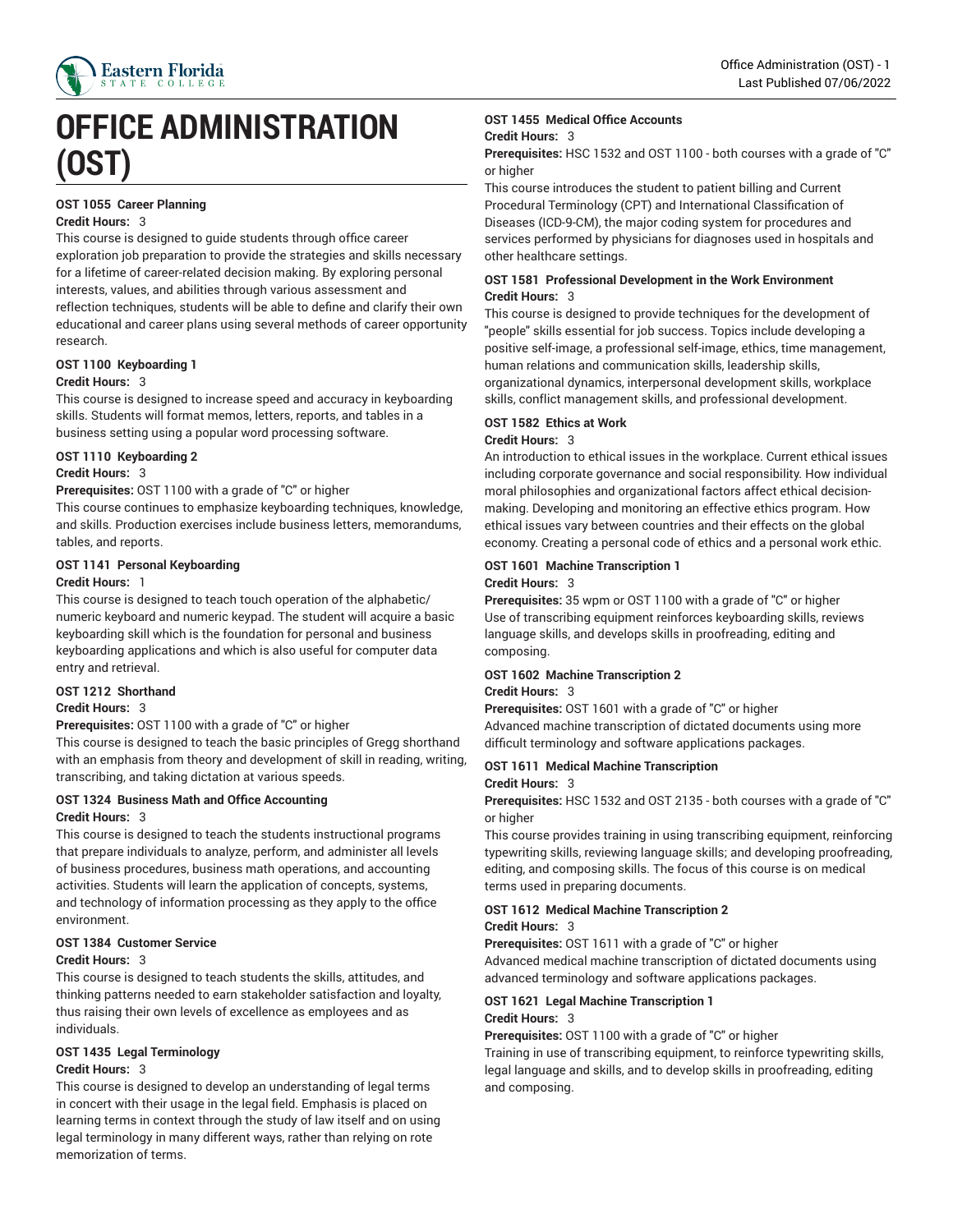

# **OFFICE ADMINISTRATION (OST)**

### **OST 1055 Career Planning**

#### **Credit Hours:** 3

This course is designed to guide students through office career exploration job preparation to provide the strategies and skills necessary for a lifetime of career-related decision making. By exploring personal interests, values, and abilities through various assessment and reflection techniques, students will be able to define and clarify their own educational and career plans using several methods of career opportunity research.

#### **OST 1100 Keyboarding 1**

#### **Credit Hours:** 3

This course is designed to increase speed and accuracy in keyboarding skills. Students will format memos, letters, reports, and tables in a business setting using a popular word processing software.

#### **OST 1110 Keyboarding 2**

#### **Credit Hours:** 3

**Prerequisites:** OST 1100 with a grade of "C" or higher

This course continues to emphasize keyboarding techniques, knowledge, and skills. Production exercises include business letters, memorandums, tables, and reports.

#### **OST 1141 Personal Keyboarding**

#### **Credit Hours:** 1

This course is designed to teach touch operation of the alphabetic/ numeric keyboard and numeric keypad. The student will acquire a basic keyboarding skill which is the foundation for personal and business keyboarding applications and which is also useful for computer data entry and retrieval.

#### **OST 1212 Shorthand**

#### **Credit Hours:** 3

**Prerequisites:** OST 1100 with a grade of "C" or higher

This course is designed to teach the basic principles of Gregg shorthand with an emphasis from theory and development of skill in reading, writing, transcribing, and taking dictation at various speeds.

#### **OST 1324 Business Math and Office Accounting Credit Hours:** 3

This course is designed to teach the students instructional programs that prepare individuals to analyze, perform, and administer all levels of business procedures, business math operations, and accounting activities. Students will learn the application of concepts, systems, and technology of information processing as they apply to the office environment.

#### **OST 1384 Customer Service**

#### **Credit Hours:** 3

This course is designed to teach students the skills, attitudes, and thinking patterns needed to earn stakeholder satisfaction and loyalty, thus raising their own levels of excellence as employees and as individuals.

#### **OST 1435 Legal Terminology Credit Hours:** 3

This course is designed to develop an understanding of legal terms in concert with their usage in the legal field. Emphasis is placed on learning terms in context through the study of law itself and on using legal terminology in many different ways, rather than relying on rote memorization of terms.

#### **OST 1455 Medical Office Accounts**

#### **Credit Hours:** 3

**Prerequisites:** HSC 1532 and OST 1100 - both courses with a grade of "C" or higher

This course introduces the student to patient billing and Current Procedural Terminology (CPT) and International Classification of Diseases (ICD-9-CM), the major coding system for procedures and services performed by physicians for diagnoses used in hospitals and other healthcare settings.

#### **OST 1581 Professional Development in the Work Environment Credit Hours:** 3

This course is designed to provide techniques for the development of "people" skills essential for job success. Topics include developing a positive self-image, a professional self-image, ethics, time management, human relations and communication skills, leadership skills, organizational dynamics, interpersonal development skills, workplace skills, conflict management skills, and professional development.

# **OST 1582 Ethics at Work**

#### **Credit Hours:** 3

An introduction to ethical issues in the workplace. Current ethical issues including corporate governance and social responsibility. How individual moral philosophies and organizational factors affect ethical decisionmaking. Developing and monitoring an effective ethics program. How ethical issues vary between countries and their effects on the global economy. Creating a personal code of ethics and a personal work ethic.

#### **OST 1601 Machine Transcription 1 Credit Hours:** 3

**Prerequisites:** 35 wpm or OST 1100 with a grade of "C" or higher Use of transcribing equipment reinforces keyboarding skills, reviews language skills, and develops skills in proofreading, editing and composing.

#### **OST 1602 Machine Transcription 2**

#### **Credit Hours:** 3

**Prerequisites:** OST 1601 with a grade of "C" or higher Advanced machine transcription of dictated documents using more difficult terminology and software applications packages.

# **OST 1611 Medical Machine Transcription**

# **Credit Hours:** 3

**Prerequisites:** HSC 1532 and OST 2135 - both courses with a grade of "C" or higher

This course provides training in using transcribing equipment, reinforcing typewriting skills, reviewing language skills; and developing proofreading, editing, and composing skills. The focus of this course is on medical terms used in preparing documents.

#### **OST 1612 Medical Machine Transcription 2**

#### **Credit Hours:** 3

**Prerequisites:** OST 1611 with a grade of "C" or higher

Advanced medical machine transcription of dictated documents using advanced terminology and software applications packages.

#### **OST 1621 Legal Machine Transcription 1 Credit Hours:** 3

**Prerequisites:** OST 1100 with a grade of "C" or higher

Training in use of transcribing equipment, to reinforce typewriting skills, legal language and skills, and to develop skills in proofreading, editing and composing.